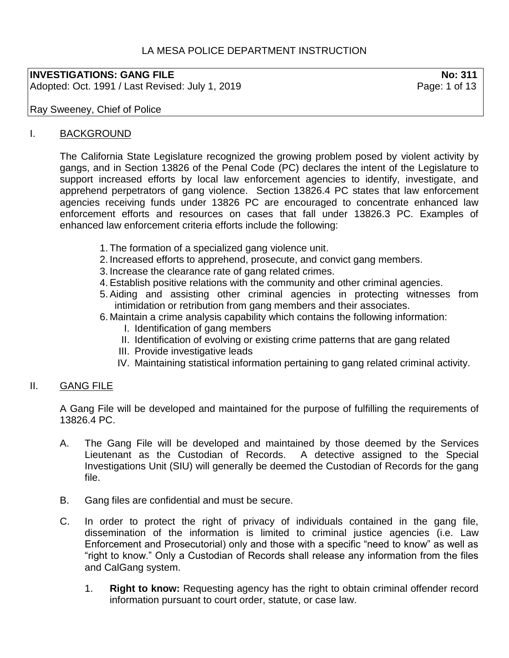# LA MESA POLICE DEPARTMENT INSTRUCTION

### **INVESTIGATIONS: GANG FILE No: 311**

Adopted: Oct. 1991 / Last Revised: July 1, 2019 **Page: 1 of 13** 

Ray Sweeney, Chief of Police

### I. BACKGROUND

The California State Legislature recognized the growing problem posed by violent activity by gangs, and in Section 13826 of the Penal Code (PC) declares the intent of the Legislature to support increased efforts by local law enforcement agencies to identify, investigate, and apprehend perpetrators of gang violence. Section 13826.4 PC states that law enforcement agencies receiving funds under 13826 PC are encouraged to concentrate enhanced law enforcement efforts and resources on cases that fall under 13826.3 PC. Examples of enhanced law enforcement criteria efforts include the following:

- 1. The formation of a specialized gang violence unit.
- 2. Increased efforts to apprehend, prosecute, and convict gang members.
- 3. Increase the clearance rate of gang related crimes.
- 4.Establish positive relations with the community and other criminal agencies.
- 5.Aiding and assisting other criminal agencies in protecting witnesses from intimidation or retribution from gang members and their associates.
- 6. Maintain a crime analysis capability which contains the following information:
	- I. Identification of gang members
	- II. Identification of evolving or existing crime patterns that are gang related
	- III. Provide investigative leads
	- IV. Maintaining statistical information pertaining to gang related criminal activity.

### II. GANG FILE

A Gang File will be developed and maintained for the purpose of fulfilling the requirements of 13826.4 PC.

- A. The Gang File will be developed and maintained by those deemed by the Services Lieutenant as the Custodian of Records. A detective assigned to the Special Investigations Unit (SIU) will generally be deemed the Custodian of Records for the gang file.
- B. Gang files are confidential and must be secure.
- C. In order to protect the right of privacy of individuals contained in the gang file, dissemination of the information is limited to criminal justice agencies (i.e. Law Enforcement and Prosecutorial) only and those with a specific "need to know" as well as "right to know." Only a Custodian of Records shall release any information from the files and CalGang system.
	- 1. **Right to know:** Requesting agency has the right to obtain criminal offender record information pursuant to court order, statute, or case law.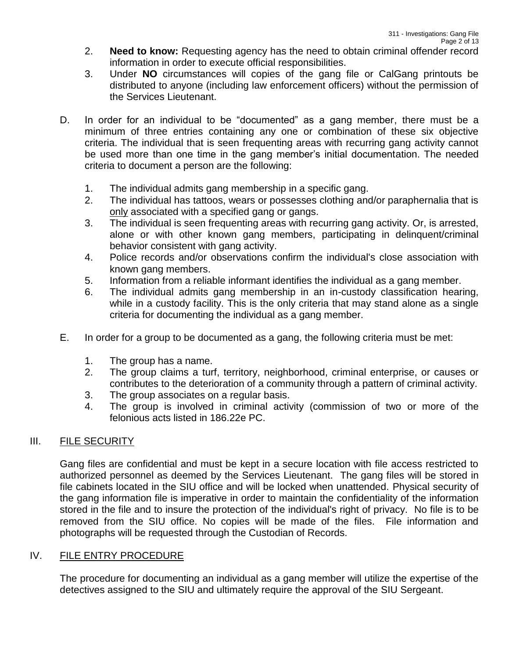- 2. **Need to know:** Requesting agency has the need to obtain criminal offender record information in order to execute official responsibilities.
- 3. Under **NO** circumstances will copies of the gang file or CalGang printouts be distributed to anyone (including law enforcement officers) without the permission of the Services Lieutenant.
- D. In order for an individual to be "documented" as a gang member, there must be a minimum of three entries containing any one or combination of these six objective criteria. The individual that is seen frequenting areas with recurring gang activity cannot be used more than one time in the gang member's initial documentation. The needed criteria to document a person are the following:
	- 1. The individual admits gang membership in a specific gang.
	- 2. The individual has tattoos, wears or possesses clothing and/or paraphernalia that is only associated with a specified gang or gangs.
	- 3. The individual is seen frequenting areas with recurring gang activity. Or, is arrested, alone or with other known gang members, participating in delinquent/criminal behavior consistent with gang activity.
	- 4. Police records and/or observations confirm the individual's close association with known gang members.
	- 5. Information from a reliable informant identifies the individual as a gang member.
	- 6. The individual admits gang membership in an in-custody classification hearing, while in a custody facility. This is the only criteria that may stand alone as a single criteria for documenting the individual as a gang member.
- E. In order for a group to be documented as a gang, the following criteria must be met:
	- 1. The group has a name.
	- 2. The group claims a turf, territory, neighborhood, criminal enterprise, or causes or contributes to the deterioration of a community through a pattern of criminal activity.
	- 3. The group associates on a regular basis.
	- 4. The group is involved in criminal activity (commission of two or more of the felonious acts listed in 186.22e PC.

# III. FILE SECURITY

Gang files are confidential and must be kept in a secure location with file access restricted to authorized personnel as deemed by the Services Lieutenant. The gang files will be stored in file cabinets located in the SIU office and will be locked when unattended. Physical security of the gang information file is imperative in order to maintain the confidentiality of the information stored in the file and to insure the protection of the individual's right of privacy. No file is to be removed from the SIU office. No copies will be made of the files. File information and photographs will be requested through the Custodian of Records.

# IV. FILE ENTRY PROCEDURE

The procedure for documenting an individual as a gang member will utilize the expertise of the detectives assigned to the SIU and ultimately require the approval of the SIU Sergeant.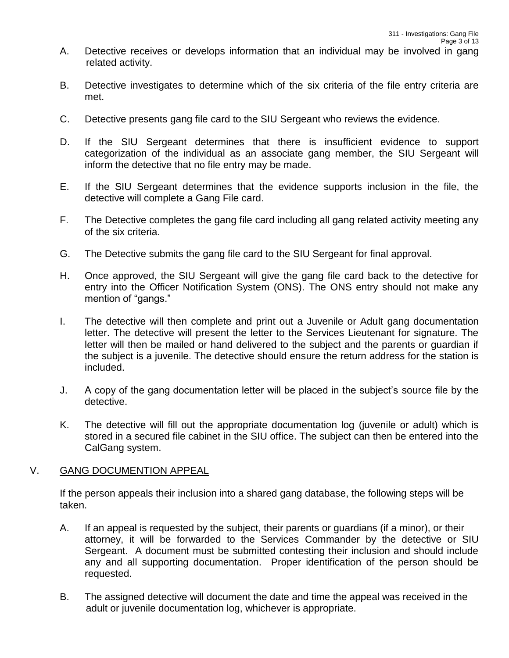- A. Detective receives or develops information that an individual may be involved in gang related activity.
- B. Detective investigates to determine which of the six criteria of the file entry criteria are met.
- C. Detective presents gang file card to the SIU Sergeant who reviews the evidence.
- D. If the SIU Sergeant determines that there is insufficient evidence to support categorization of the individual as an associate gang member, the SIU Sergeant will inform the detective that no file entry may be made.
- E. If the SIU Sergeant determines that the evidence supports inclusion in the file, the detective will complete a Gang File card.
- F. The Detective completes the gang file card including all gang related activity meeting any of the six criteria.
- G. The Detective submits the gang file card to the SIU Sergeant for final approval.
- H. Once approved, the SIU Sergeant will give the gang file card back to the detective for entry into the Officer Notification System (ONS). The ONS entry should not make any mention of "gangs."
- I. The detective will then complete and print out a Juvenile or Adult gang documentation letter. The detective will present the letter to the Services Lieutenant for signature. The letter will then be mailed or hand delivered to the subject and the parents or guardian if the subject is a juvenile. The detective should ensure the return address for the station is included.
- J. A copy of the gang documentation letter will be placed in the subject's source file by the detective.
- K. The detective will fill out the appropriate documentation log (juvenile or adult) which is stored in a secured file cabinet in the SIU office. The subject can then be entered into the CalGang system.

#### V. GANG DOCUMENTION APPEAL

If the person appeals their inclusion into a shared gang database, the following steps will be taken.

- A. If an appeal is requested by the subject, their parents or guardians (if a minor), or their attorney, it will be forwarded to the Services Commander by the detective or SIU Sergeant. A document must be submitted contesting their inclusion and should include any and all supporting documentation. Proper identification of the person should be requested.
- B. The assigned detective will document the date and time the appeal was received in the adult or juvenile documentation log, whichever is appropriate.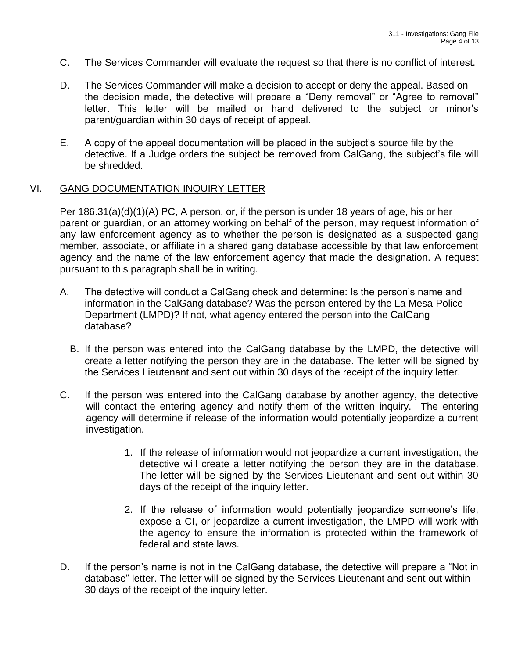- C. The Services Commander will evaluate the request so that there is no conflict of interest.
- D. The Services Commander will make a decision to accept or deny the appeal. Based on the decision made, the detective will prepare a "Deny removal" or "Agree to removal" letter. This letter will be mailed or hand delivered to the subject or minor's parent/guardian within 30 days of receipt of appeal.
- E. A copy of the appeal documentation will be placed in the subject's source file by the detective. If a Judge orders the subject be removed from CalGang, the subject's file will be shredded.

### VI. GANG DOCUMENTATION INQUIRY LETTER

Per 186.31(a)(d)(1)(A) PC, A person, or, if the person is under 18 years of age, his or her parent or guardian, or an attorney working on behalf of the person, may request information of any law enforcement agency as to whether the person is designated as a suspected gang member, associate, or affiliate in a shared gang database accessible by that law enforcement agency and the name of the law enforcement agency that made the designation. A request pursuant to this paragraph shall be in writing.

- A. The detective will conduct a CalGang check and determine: Is the person's name and information in the CalGang database? Was the person entered by the La Mesa Police Department (LMPD)? If not, what agency entered the person into the CalGang database?
	- B. If the person was entered into the CalGang database by the LMPD, the detective will create a letter notifying the person they are in the database. The letter will be signed by the Services Lieutenant and sent out within 30 days of the receipt of the inquiry letter.
- C. If the person was entered into the CalGang database by another agency, the detective will contact the entering agency and notify them of the written inquiry. The entering agency will determine if release of the information would potentially jeopardize a current investigation.
	- 1. If the release of information would not jeopardize a current investigation, the detective will create a letter notifying the person they are in the database. The letter will be signed by the Services Lieutenant and sent out within 30 days of the receipt of the inquiry letter.
	- 2. If the release of information would potentially jeopardize someone's life, expose a CI, or jeopardize a current investigation, the LMPD will work with the agency to ensure the information is protected within the framework of federal and state laws.
- D. If the person's name is not in the CalGang database, the detective will prepare a "Not in database" letter. The letter will be signed by the Services Lieutenant and sent out within 30 days of the receipt of the inquiry letter.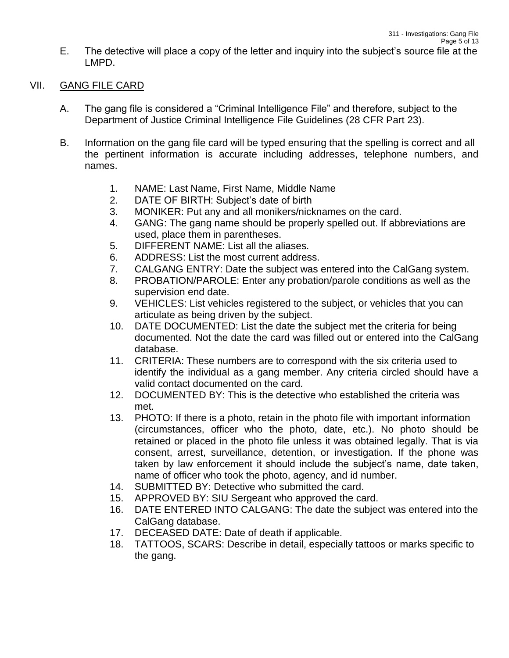E. The detective will place a copy of the letter and inquiry into the subject's source file at the LMPD.

### VII. GANG FILE CARD

- A. The gang file is considered a "Criminal Intelligence File" and therefore, subject to the Department of Justice Criminal Intelligence File Guidelines (28 CFR Part 23).
- B. Information on the gang file card will be typed ensuring that the spelling is correct and all the pertinent information is accurate including addresses, telephone numbers, and names.
	- 1. NAME: Last Name, First Name, Middle Name
	- 2. DATE OF BIRTH: Subject's date of birth
	- 3. MONIKER: Put any and all monikers/nicknames on the card.
	- 4. GANG: The gang name should be properly spelled out. If abbreviations are used, place them in parentheses.
	- 5. DIFFERENT NAME: List all the aliases.
	- 6. ADDRESS: List the most current address.
	- 7. CALGANG ENTRY: Date the subject was entered into the CalGang system.
	- 8. PROBATION/PAROLE: Enter any probation/parole conditions as well as the supervision end date.
	- 9. VEHICLES: List vehicles registered to the subject, or vehicles that you can articulate as being driven by the subject.
	- 10. DATE DOCUMENTED: List the date the subject met the criteria for being documented. Not the date the card was filled out or entered into the CalGang database.
	- 11. CRITERIA: These numbers are to correspond with the six criteria used to identify the individual as a gang member. Any criteria circled should have a valid contact documented on the card.
	- 12. DOCUMENTED BY: This is the detective who established the criteria was met.
	- 13. PHOTO: If there is a photo, retain in the photo file with important information (circumstances, officer who the photo, date, etc.). No photo should be retained or placed in the photo file unless it was obtained legally. That is via consent, arrest, surveillance, detention, or investigation. If the phone was taken by law enforcement it should include the subject's name, date taken, name of officer who took the photo, agency, and id number.
	- 14. SUBMITTED BY: Detective who submitted the card.
	- 15. APPROVED BY: SIU Sergeant who approved the card.
	- 16. DATE ENTERED INTO CALGANG: The date the subject was entered into the CalGang database.
	- 17. DECEASED DATE: Date of death if applicable.
	- 18. TATTOOS, SCARS: Describe in detail, especially tattoos or marks specific to the gang.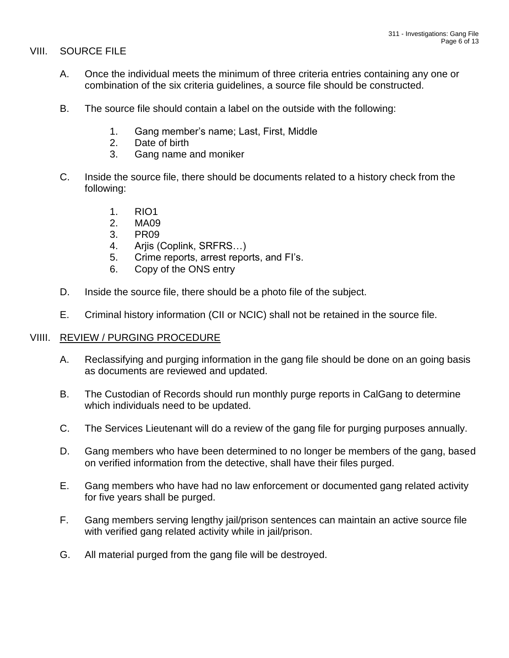### VIII. SOURCE FILE

- A. Once the individual meets the minimum of three criteria entries containing any one or combination of the six criteria guidelines, a source file should be constructed.
- B. The source file should contain a label on the outside with the following:
	- 1. Gang member's name; Last, First, Middle
	- 2. Date of birth
	- 3. Gang name and moniker
- C. Inside the source file, there should be documents related to a history check from the following:
	- 1. RIO1
	- 2. MA09
	- 3. PR09
	- 4. Arjis (Coplink, SRFRS…)
	- 5. Crime reports, arrest reports, and FI's.
	- 6. Copy of the ONS entry
- D. Inside the source file, there should be a photo file of the subject.
- E. Criminal history information (CII or NCIC) shall not be retained in the source file.

### VIIII. REVIEW / PURGING PROCEDURE

- A. Reclassifying and purging information in the gang file should be done on an going basis as documents are reviewed and updated.
- B. The Custodian of Records should run monthly purge reports in CalGang to determine which individuals need to be updated.
- C. The Services Lieutenant will do a review of the gang file for purging purposes annually.
- D. Gang members who have been determined to no longer be members of the gang, based on verified information from the detective, shall have their files purged.
- E. Gang members who have had no law enforcement or documented gang related activity for five years shall be purged.
- F. Gang members serving lengthy jail/prison sentences can maintain an active source file with verified gang related activity while in jail/prison.
- G. All material purged from the gang file will be destroyed.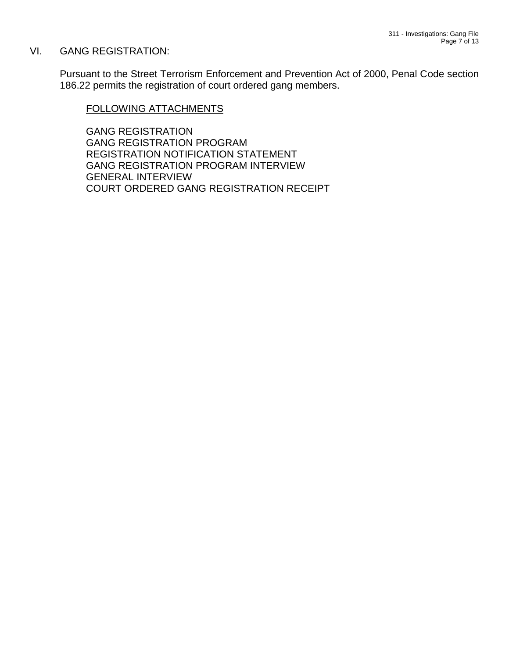### VI. GANG REGISTRATION:

Pursuant to the Street Terrorism Enforcement and Prevention Act of 2000, Penal Code section 186.22 permits the registration of court ordered gang members.

#### FOLLOWING ATTACHMENTS

GANG REGISTRATION GANG REGISTRATION PROGRAM REGISTRATION NOTIFICATION STATEMENT GANG REGISTRATION PROGRAM INTERVIEW GENERAL INTERVIEW COURT ORDERED GANG REGISTRATION RECEIPT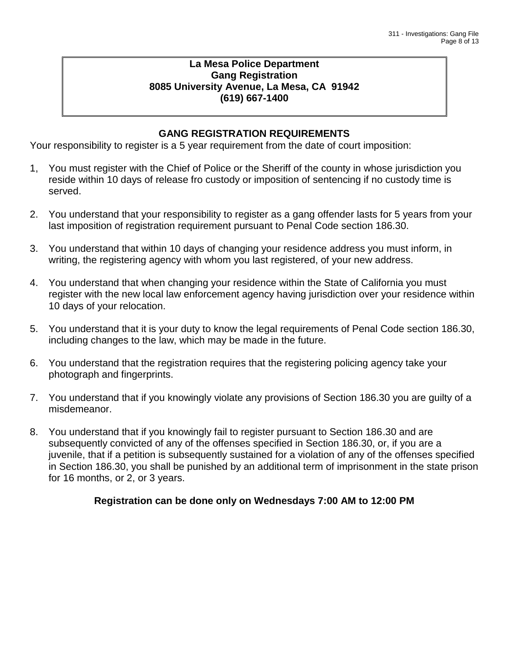### **La Mesa Police Department Gang Registration 8085 University Avenue, La Mesa, CA 91942 (619) 667-1400**

# **GANG REGISTRATION REQUIREMENTS**

Your responsibility to register is a 5 year requirement from the date of court imposition:

- 1, You must register with the Chief of Police or the Sheriff of the county in whose jurisdiction you reside within 10 days of release fro custody or imposition of sentencing if no custody time is served.
- 2. You understand that your responsibility to register as a gang offender lasts for 5 years from your last imposition of registration requirement pursuant to Penal Code section 186.30.
- 3. You understand that within 10 days of changing your residence address you must inform, in writing, the registering agency with whom you last registered, of your new address.
- 4. You understand that when changing your residence within the State of California you must register with the new local law enforcement agency having jurisdiction over your residence within 10 days of your relocation.
- 5. You understand that it is your duty to know the legal requirements of Penal Code section 186.30, including changes to the law, which may be made in the future.
- 6. You understand that the registration requires that the registering policing agency take your photograph and fingerprints.
- 7. You understand that if you knowingly violate any provisions of Section 186.30 you are guilty of a misdemeanor.
- 8. You understand that if you knowingly fail to register pursuant to Section 186.30 and are subsequently convicted of any of the offenses specified in Section 186.30, or, if you are a juvenile, that if a petition is subsequently sustained for a violation of any of the offenses specified in Section 186.30, you shall be punished by an additional term of imprisonment in the state prison for 16 months, or 2, or 3 years.

### **Registration can be done only on Wednesdays 7:00 AM to 12:00 PM**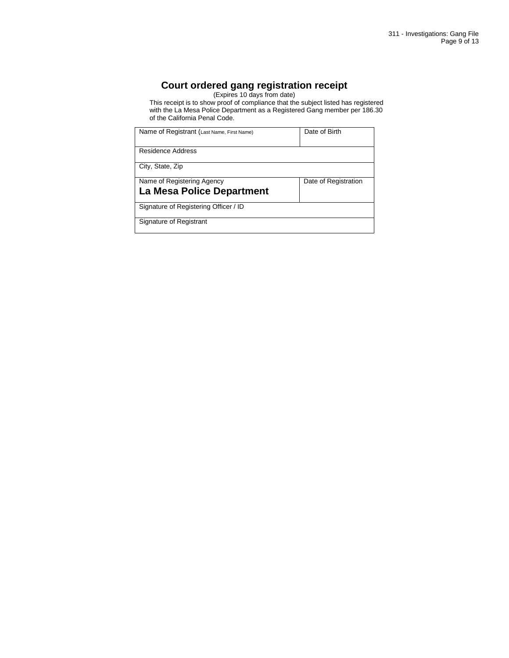### **Court ordered gang registration receipt**

(Expires 10 days from date)

This receipt is to show proof of compliance that the subject listed has registered with the La Mesa Police Department as a Registered Gang member per 186.30 of the California Penal Code.

| Name of Registrant (Last Name, First Name)              | Date of Birth        |
|---------------------------------------------------------|----------------------|
| Residence Address                                       |                      |
| City, State, Zip                                        |                      |
| Name of Registering Agency<br>La Mesa Police Department | Date of Registration |
| Signature of Registering Officer / ID                   |                      |
| Signature of Registrant                                 |                      |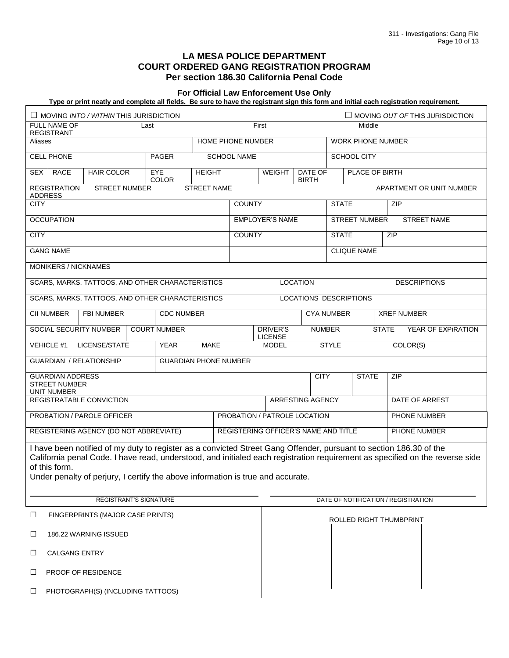#### **LA MESA POLICE DEPARTMENT COURT ORDERED GANG REGISTRATION PROGRAM Per section 186.30 California Penal Code**

#### **For Official Law Enforcement Use Only**

**Type or print neatly and complete all fields. Be sure to have the registrant sign this form and initial each registration requirement.**

| $\Box$ MOVING OUT OF THIS JURISDICTION<br>$\Box$ MOVING INTO / WITHIN THIS JURISDICTION                                                                                                                                                                                                                                                                |                                                  |                            |                                     |                                                      |                                                            |                 |                                            |                          |                                    |  |
|--------------------------------------------------------------------------------------------------------------------------------------------------------------------------------------------------------------------------------------------------------------------------------------------------------------------------------------------------------|--------------------------------------------------|----------------------------|-------------------------------------|------------------------------------------------------|------------------------------------------------------------|-----------------|--------------------------------------------|--------------------------|------------------------------------|--|
| FULL NAME OF<br>Last<br><b>REGISTRANT</b>                                                                                                                                                                                                                                                                                                              |                                                  |                            |                                     |                                                      | First<br>Middle                                            |                 |                                            |                          |                                    |  |
| Aliases                                                                                                                                                                                                                                                                                                                                                |                                                  | HOME PHONE NUMBER          |                                     |                                                      |                                                            |                 |                                            | <b>WORK PHONE NUMBER</b> |                                    |  |
| <b>CELL PHONE</b>                                                                                                                                                                                                                                                                                                                                      |                                                  | <b>PAGER</b>               | <b>SCHOOL NAME</b>                  |                                                      |                                                            |                 | <b>SCHOOL CITY</b>                         |                          |                                    |  |
| <b>SEX</b><br><b>RACE</b>                                                                                                                                                                                                                                                                                                                              | <b>HAIR COLOR</b>                                | <b>EYE</b><br><b>COLOR</b> | <b>HEIGHT</b>                       |                                                      | <b>WEIGHT</b><br>DATE OF<br>PLACE OF BIRTH<br><b>BIRTH</b> |                 |                                            |                          |                                    |  |
| <b>REGISTRATION</b><br><b>STREET NUMBER</b><br>STREET NAME<br><b>ADDRESS</b>                                                                                                                                                                                                                                                                           |                                                  |                            |                                     | APARTMENT OR UNIT NUMBER                             |                                                            |                 |                                            |                          |                                    |  |
| <b>CITY</b>                                                                                                                                                                                                                                                                                                                                            |                                                  |                            |                                     | <b>COUNTY</b>                                        |                                                            |                 | <b>STATE</b>                               |                          | ZIP                                |  |
| <b>OCCUPATION</b>                                                                                                                                                                                                                                                                                                                                      |                                                  |                            | <b>EMPLOYER'S NAME</b>              |                                                      |                                                            |                 | <b>STREET NUMBER</b><br><b>STREET NAME</b> |                          |                                    |  |
| <b>CITY</b>                                                                                                                                                                                                                                                                                                                                            |                                                  |                            | <b>COUNTY</b>                       |                                                      |                                                            |                 | <b>STATE</b>                               | <b>ZIP</b>               |                                    |  |
| <b>GANG NAME</b>                                                                                                                                                                                                                                                                                                                                       |                                                  |                            |                                     | <b>CLIQUE NAME</b>                                   |                                                            |                 |                                            |                          |                                    |  |
| MONIKERS / NICKNAMES                                                                                                                                                                                                                                                                                                                                   |                                                  |                            |                                     |                                                      |                                                            |                 |                                            |                          |                                    |  |
|                                                                                                                                                                                                                                                                                                                                                        | SCARS, MARKS, TATTOOS, AND OTHER CHARACTERISTICS |                            |                                     |                                                      |                                                            | <b>LOCATION</b> |                                            |                          | <b>DESCRIPTIONS</b>                |  |
|                                                                                                                                                                                                                                                                                                                                                        | SCARS, MARKS, TATTOOS, AND OTHER CHARACTERISTICS |                            |                                     |                                                      |                                                            |                 |                                            | LOCATIONS DESCRIPTIONS   |                                    |  |
| CII NUMBER                                                                                                                                                                                                                                                                                                                                             | FBI NUMBER                                       |                            | <b>CDC NUMBER</b>                   |                                                      |                                                            |                 | <b>CYA NUMBER</b>                          |                          | <b>XREF NUMBER</b>                 |  |
| SOCIAL SECURITY NUMBER                                                                                                                                                                                                                                                                                                                                 |                                                  | <b>COURT NUMBER</b>        | DRIVER'S<br><b>LICENSE</b>          |                                                      |                                                            | <b>NUMBER</b>   |                                            |                          | <b>STATE</b><br>YEAR OF EXPIRATION |  |
| VEHICLE #1                                                                                                                                                                                                                                                                                                                                             | LICENSE/STATE                                    | <b>YEAR</b>                | <b>MAKE</b><br><b>MODEL</b>         |                                                      |                                                            |                 | <b>STYLE</b>                               |                          | COLOR(S)                           |  |
| <b>GUARDIAN / RELATIONSHIP</b><br><b>GUARDIAN PHONE NUMBER</b>                                                                                                                                                                                                                                                                                         |                                                  |                            |                                     |                                                      |                                                            |                 |                                            |                          |                                    |  |
| <b>GUARDIAN ADDRESS</b><br><b>STREET NUMBER</b><br><b>UNIT NUMBER</b>                                                                                                                                                                                                                                                                                  |                                                  |                            |                                     |                                                      | <b>CITY</b><br><b>STATE</b>                                |                 | ZIP                                        |                          |                                    |  |
| REGISTRATABLE CONVICTION                                                                                                                                                                                                                                                                                                                               |                                                  |                            |                                     |                                                      | ARRESTING AGENCY                                           |                 |                                            | DATE OF ARREST           |                                    |  |
| PROBATION / PAROLE OFFICER                                                                                                                                                                                                                                                                                                                             |                                                  |                            |                                     | PROBATION / PATROLE LOCATION                         |                                                            |                 |                                            | PHONE NUMBER             |                                    |  |
| REGISTERING AGENCY (DO NOT ABBREVIATE)                                                                                                                                                                                                                                                                                                                 |                                                  |                            |                                     | REGISTERING OFFICER'S NAME AND TITLE<br>PHONE NUMBER |                                                            |                 |                                            |                          |                                    |  |
| I have been notified of my duty to register as a convicted Street Gang Offender, pursuant to section 186.30 of the<br>California penal Code. I have read, understood, and initialed each registration requirement as specified on the reverse side<br>of this form.<br>Under penalty of perjury, I certify the above information is true and accurate. |                                                  |                            |                                     |                                                      |                                                            |                 |                                            |                          |                                    |  |
| <b>REGISTRANT'S SIGNATURE</b>                                                                                                                                                                                                                                                                                                                          |                                                  |                            | DATE OF NOTIFICATION / REGISTRATION |                                                      |                                                            |                 |                                            |                          |                                    |  |
| FINGERPRINTS (MAJOR CASE PRINTS)<br>Ц                                                                                                                                                                                                                                                                                                                  |                                                  |                            | ROLLED RIGHT THUMBPRINT             |                                                      |                                                            |                 |                                            |                          |                                    |  |
| 186.22 WARNING ISSUED<br>⊔                                                                                                                                                                                                                                                                                                                             |                                                  |                            |                                     |                                                      |                                                            |                 |                                            |                          |                                    |  |
| $\Box$<br><b>CALGANG ENTRY</b>                                                                                                                                                                                                                                                                                                                         |                                                  |                            |                                     |                                                      |                                                            |                 |                                            |                          |                                    |  |
| <b>PROOF OF RESIDENCE</b><br>⊔                                                                                                                                                                                                                                                                                                                         |                                                  |                            |                                     |                                                      |                                                            |                 |                                            |                          |                                    |  |
| ⊔                                                                                                                                                                                                                                                                                                                                                      | PHOTOGRAPH(S) (INCLUDING TATTOOS)                |                            |                                     |                                                      |                                                            |                 |                                            |                          |                                    |  |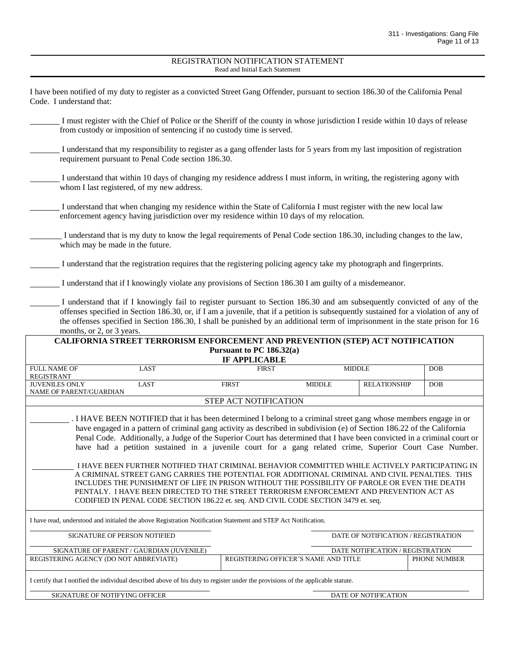#### REGISTRATION NOTIFICATION STATEMENT Read and Initial Each Statement

| I have been notified of my duty to register as a convicted Street Gang Offender, pursuant to section 186.30 of the California Penal<br>Code. I understand that:                                                                                                                                                                                                                                                                                                                                                                                                                                                                                                                                                                                                                                                                                                                                                                                                        |  |                                      |               |                                     |              |  |
|------------------------------------------------------------------------------------------------------------------------------------------------------------------------------------------------------------------------------------------------------------------------------------------------------------------------------------------------------------------------------------------------------------------------------------------------------------------------------------------------------------------------------------------------------------------------------------------------------------------------------------------------------------------------------------------------------------------------------------------------------------------------------------------------------------------------------------------------------------------------------------------------------------------------------------------------------------------------|--|--------------------------------------|---------------|-------------------------------------|--------------|--|
| I must register with the Chief of Police or the Sheriff of the county in whose jurisdiction I reside within 10 days of release<br>from custody or imposition of sentencing if no custody time is served.                                                                                                                                                                                                                                                                                                                                                                                                                                                                                                                                                                                                                                                                                                                                                               |  |                                      |               |                                     |              |  |
| I understand that my responsibility to register as a gang offender lasts for 5 years from my last imposition of registration<br>requirement pursuant to Penal Code section 186.30.                                                                                                                                                                                                                                                                                                                                                                                                                                                                                                                                                                                                                                                                                                                                                                                     |  |                                      |               |                                     |              |  |
| I understand that within 10 days of changing my residence address I must inform, in writing, the registering agony with<br>whom I last registered, of my new address.                                                                                                                                                                                                                                                                                                                                                                                                                                                                                                                                                                                                                                                                                                                                                                                                  |  |                                      |               |                                     |              |  |
| I understand that when changing my residence within the State of California I must register with the new local law<br>enforcement agency having jurisdiction over my residence within 10 days of my relocation.                                                                                                                                                                                                                                                                                                                                                                                                                                                                                                                                                                                                                                                                                                                                                        |  |                                      |               |                                     |              |  |
| I understand that is my duty to know the legal requirements of Penal Code section 186.30, including changes to the law,<br>which may be made in the future.                                                                                                                                                                                                                                                                                                                                                                                                                                                                                                                                                                                                                                                                                                                                                                                                            |  |                                      |               |                                     |              |  |
| I understand that the registration requires that the registering policing agency take my photograph and fingerprints.                                                                                                                                                                                                                                                                                                                                                                                                                                                                                                                                                                                                                                                                                                                                                                                                                                                  |  |                                      |               |                                     |              |  |
| I understand that if I knowingly violate any provisions of Section 186.30 I am guilty of a misdemeanor.                                                                                                                                                                                                                                                                                                                                                                                                                                                                                                                                                                                                                                                                                                                                                                                                                                                                |  |                                      |               |                                     |              |  |
| I understand that if I knowingly fail to register pursuant to Section 186.30 and am subsequently convicted of any of the<br>offenses specified in Section 186.30, or, if I am a juvenile, that if a petition is subsequently sustained for a violation of any of<br>the offenses specified in Section 186.30, I shall be punished by an additional term of imprisonment in the state prison for 16<br>months, or 2, or 3 years.                                                                                                                                                                                                                                                                                                                                                                                                                                                                                                                                        |  |                                      |               |                                     |              |  |
| CALIFORNIA STREET TERRORISM ENFORCEMENT AND PREVENTION (STEP) ACT NOTIFICATION                                                                                                                                                                                                                                                                                                                                                                                                                                                                                                                                                                                                                                                                                                                                                                                                                                                                                         |  | Pursuant to PC 186.32(a)             |               |                                     |              |  |
|                                                                                                                                                                                                                                                                                                                                                                                                                                                                                                                                                                                                                                                                                                                                                                                                                                                                                                                                                                        |  | <b>IF APPLICABLE</b>                 |               |                                     |              |  |
| FULL NAME OF<br>LAST<br><b>REGISTRANT</b>                                                                                                                                                                                                                                                                                                                                                                                                                                                                                                                                                                                                                                                                                                                                                                                                                                                                                                                              |  | <b>FIRST</b>                         | <b>MIDDLE</b> |                                     | <b>DOB</b>   |  |
| <b>JUVENILES ONLY</b><br><b>LAST</b><br>NAME OF PARENT/GUARDIAN                                                                                                                                                                                                                                                                                                                                                                                                                                                                                                                                                                                                                                                                                                                                                                                                                                                                                                        |  | <b>FIRST</b>                         | <b>MIDDLE</b> | <b>RELATIONSHIP</b>                 | <b>DOB</b>   |  |
|                                                                                                                                                                                                                                                                                                                                                                                                                                                                                                                                                                                                                                                                                                                                                                                                                                                                                                                                                                        |  | STEP ACT NOTIFICATION                |               |                                     |              |  |
| I HAVE BEEN NOTIFIED that it has been determined I belong to a criminal street gang whose members engage in or<br>have engaged in a pattern of criminal gang activity as described in subdivision (e) of Section 186.22 of the California<br>Penal Code. Additionally, a Judge of the Superior Court has determined that I have been convicted in a criminal court or<br>have had a petition sustained in a juvenile court for a gang related crime, Superior Court Case Number.<br>I HAVE BEEN FURTHER NOTIFIED THAT CRIMINAL BEHAVIOR COMMITTED WHILE ACTIVELY PARTICIPATING IN<br>A CRIMINAL STREET GANG CARRIES THE POTENTIAL FOR ADDITIONAL CRIMINAL AND CIVIL PENALTIES. THIS<br>INCLUDES THE PUNISHMENT OF LIFE IN PRISON WITHOUT THE POSSIBILITY OF PAROLE OR EVEN THE DEATH<br>PENTALY. I HAVE BEEN DIRECTED TO THE STREET TERRORISM ENFORCEMENT AND PREVENTION ACT AS<br>CODIFIED IN PENAL CODE SECTION 186.22 et. seq. AND CIVIL CODE SECTION 3479 et. seq. |  |                                      |               |                                     |              |  |
| I have read, understood and initialed the above Registration Notification Statement and STEP Act Notification.                                                                                                                                                                                                                                                                                                                                                                                                                                                                                                                                                                                                                                                                                                                                                                                                                                                         |  |                                      |               |                                     |              |  |
| SIGNATURE OF PERSON NOTIFIED                                                                                                                                                                                                                                                                                                                                                                                                                                                                                                                                                                                                                                                                                                                                                                                                                                                                                                                                           |  |                                      |               | DATE OF NOTIFICATION / REGISTRATION |              |  |
| SIGNATURE OF PARENT / GAURDIAN (JUVENILE)<br>REGISTERING AGENCY (DO NOT ABBREVIATE)                                                                                                                                                                                                                                                                                                                                                                                                                                                                                                                                                                                                                                                                                                                                                                                                                                                                                    |  | REGISTERING OFFICER'S NAME AND TITLE |               | DATE NOTIFICATION / REGISTRATION    | PHONE NUMBER |  |
|                                                                                                                                                                                                                                                                                                                                                                                                                                                                                                                                                                                                                                                                                                                                                                                                                                                                                                                                                                        |  |                                      |               |                                     |              |  |
| I certify that I notified the individual described above of his duty to register under the provisions of the applicable statute.                                                                                                                                                                                                                                                                                                                                                                                                                                                                                                                                                                                                                                                                                                                                                                                                                                       |  |                                      |               |                                     |              |  |
| SIGNATURE OF NOTIFYING OFFICER                                                                                                                                                                                                                                                                                                                                                                                                                                                                                                                                                                                                                                                                                                                                                                                                                                                                                                                                         |  |                                      |               | DATE OF NOTIFICATION                |              |  |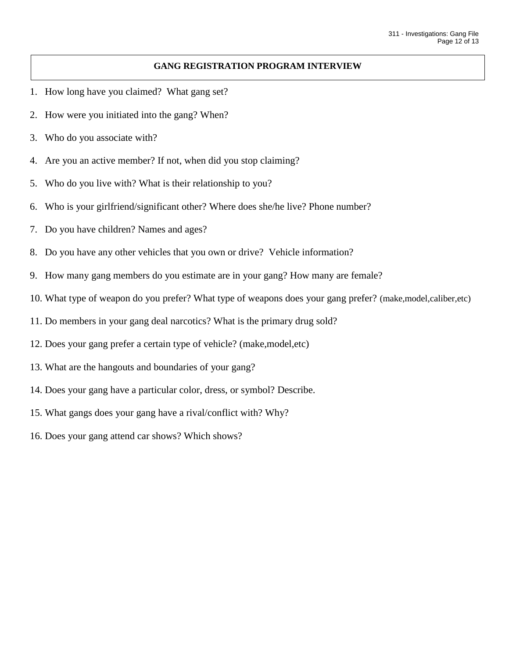#### **GANG REGISTRATION PROGRAM INTERVIEW**

- 1. How long have you claimed? What gang set?
- 2. How were you initiated into the gang? When?
- 3. Who do you associate with?
- 4. Are you an active member? If not, when did you stop claiming?
- 5. Who do you live with? What is their relationship to you?
- 6. Who is your girlfriend/significant other? Where does she/he live? Phone number?
- 7. Do you have children? Names and ages?
- 8. Do you have any other vehicles that you own or drive? Vehicle information?
- 9. How many gang members do you estimate are in your gang? How many are female?
- 10. What type of weapon do you prefer? What type of weapons does your gang prefer? (make,model,caliber,etc)
- 11. Do members in your gang deal narcotics? What is the primary drug sold?
- 12. Does your gang prefer a certain type of vehicle? (make,model,etc)
- 13. What are the hangouts and boundaries of your gang?
- 14. Does your gang have a particular color, dress, or symbol? Describe.
- 15. What gangs does your gang have a rival/conflict with? Why?
- 16. Does your gang attend car shows? Which shows?